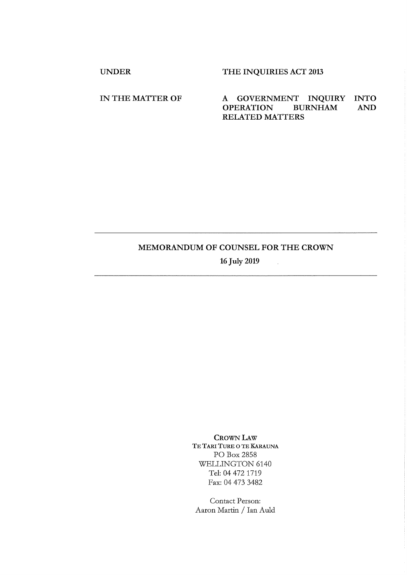UNDER THE INQUIRIES ACT 2013

IN THE MATTER OF A GOVERNMENT INQUIRY INTO<br>OPERATION BURNHAM AND OPERATION BURNHAM AND RELATED MATTERS

## MEMORANDUM OF COUNSEL FOR THE CROWN

16 July 2019

 $\mathcal{L}_{\mathcal{A}}$ 

CROWN LAW TE TARI TURE O TE KARAUNA PO Box 2858 WELLINGTON 6140 Tel: 04 472 1719 Fax: 04 473 3482

Contact Person: Aaron Martin / Ian Auld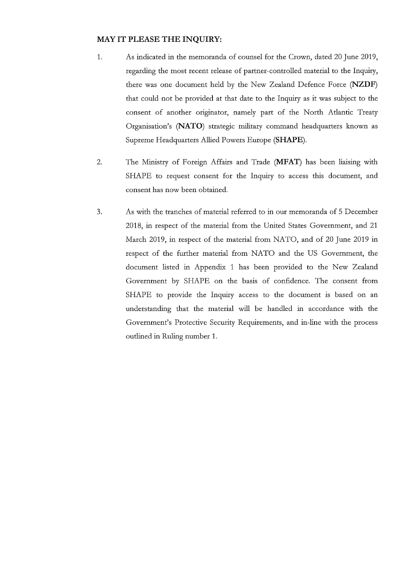## **MAY IT PLEASE THE INQUIRY:**

- 1. As indicated in the memoranda of counsel for the Crown, dated 20 June 2019, regarding the most recent release of partner-controlled material to the Inquiry, there was one document held by the New Zealand Defence Force (NZDF) that could not be provided at that date to the Inquiry as it was subject to the consent of another originator, namely part of the North Atlantic Treaty Organisation's (NATO) strategic military command headquarters known as Supreme Headquarters Allied Powers Europe **(SHAPE).**
- 2. The Ministry of Foreign Affairs and Trade (MFAT) has been liaising with SHAPE to request consent for the Inquiry to access this document, and consent has now been obtained.
- 3. As with the tranches of material referred to in our memoranda of 5 December 2018, in respect of the material from the United States Government, and 21 March 2019, in respect of the material from NATO, and of 20 June 2019 in respect of the further material from NATO and the US Government, the document listed in Appendix 1 has been provided to the New Zealand Government by SHAPE on the basis of confidence. The consent from SHAPE to provide the Inquiry access to the document is based on an understanding that the material will be handled in accordance with the Government's Protective Security Requirements, and in-line with the process outlined in Ruling number 1.